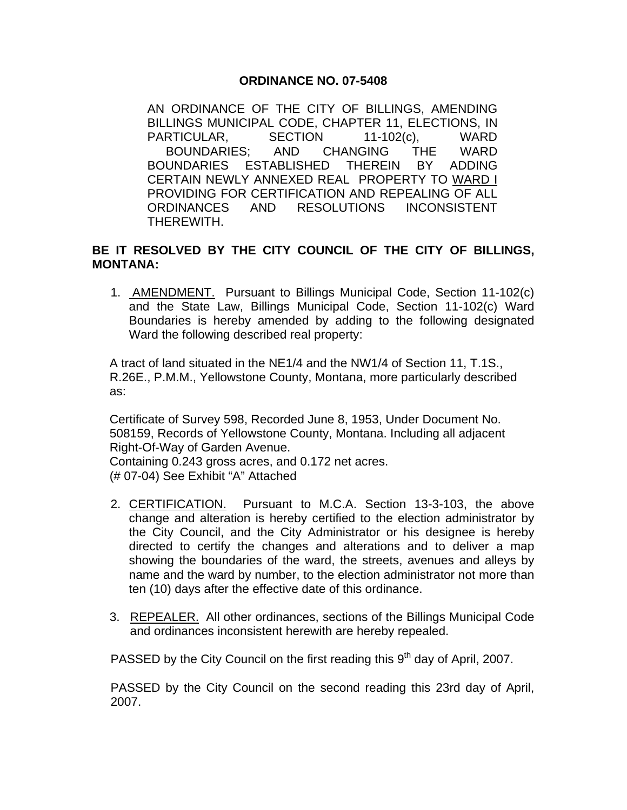## **ORDINANCE NO. 07-5408**

AN ORDINANCE OF THE CITY OF BILLINGS, AMENDING BILLINGS MUNICIPAL CODE, CHAPTER 11, ELECTIONS, IN PARTICULAR, SECTION 11-102(c), WARD BOUNDARIES; AND CHANGING THE WARD BOUNDARIES ESTABLISHED THEREIN BY ADDING CERTAIN NEWLY ANNEXED REAL PROPERTY TO WARD I PROVIDING FOR CERTIFICATION AND REPEALING OF ALL ORDINANCES AND RESOLUTIONS INCONSISTENT THEREWITH.

## **BE IT RESOLVED BY THE CITY COUNCIL OF THE CITY OF BILLINGS, MONTANA:**

1. AMENDMENT. Pursuant to Billings Municipal Code, Section 11-102(c) and the State Law, Billings Municipal Code, Section 11-102(c) Ward Boundaries is hereby amended by adding to the following designated Ward the following described real property:

A tract of land situated in the NE1/4 and the NW1/4 of Section 11, T.1S., R.26E., P.M.M., Yellowstone County, Montana, more particularly described as:

Certificate of Survey 598, Recorded June 8, 1953, Under Document No. 508159, Records of Yellowstone County, Montana. Including all adjacent Right-Of-Way of Garden Avenue.

Containing 0.243 gross acres, and 0.172 net acres. (# 07-04) See Exhibit "A" Attached

- 2. CERTIFICATION. Pursuant to M.C.A. Section 13-3-103, the above change and alteration is hereby certified to the election administrator by the City Council, and the City Administrator or his designee is hereby directed to certify the changes and alterations and to deliver a map showing the boundaries of the ward, the streets, avenues and alleys by name and the ward by number, to the election administrator not more than ten (10) days after the effective date of this ordinance.
- 3. REPEALER. All other ordinances, sections of the Billings Municipal Code and ordinances inconsistent herewith are hereby repealed.

PASSED by the City Council on the first reading this  $9<sup>th</sup>$  day of April, 2007.

PASSED by the City Council on the second reading this 23rd day of April, 2007.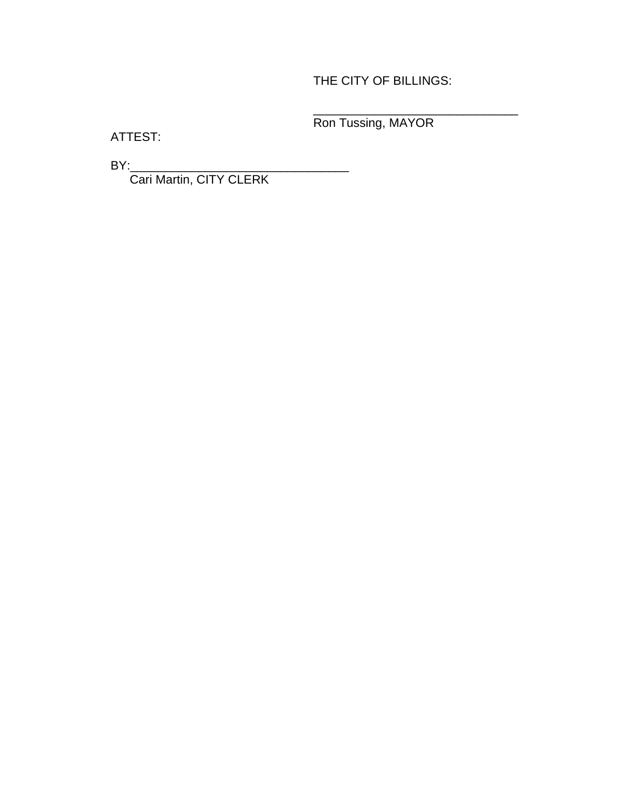THE CITY OF BILLINGS:

Ron Tussing, MAYOR

 $\frac{1}{2}$  ,  $\frac{1}{2}$  ,  $\frac{1}{2}$  ,  $\frac{1}{2}$  ,  $\frac{1}{2}$  ,  $\frac{1}{2}$  ,  $\frac{1}{2}$  ,  $\frac{1}{2}$  ,  $\frac{1}{2}$  ,  $\frac{1}{2}$  ,  $\frac{1}{2}$  ,  $\frac{1}{2}$  ,  $\frac{1}{2}$  ,  $\frac{1}{2}$  ,  $\frac{1}{2}$  ,  $\frac{1}{2}$  ,  $\frac{1}{2}$  ,  $\frac{1}{2}$  ,  $\frac{1$ 

ATTEST:

BY:\_\_\_\_\_\_\_\_\_\_\_\_\_\_\_\_\_\_\_\_\_\_\_\_\_\_\_\_\_\_\_\_

Cari Martin, CITY CLERK